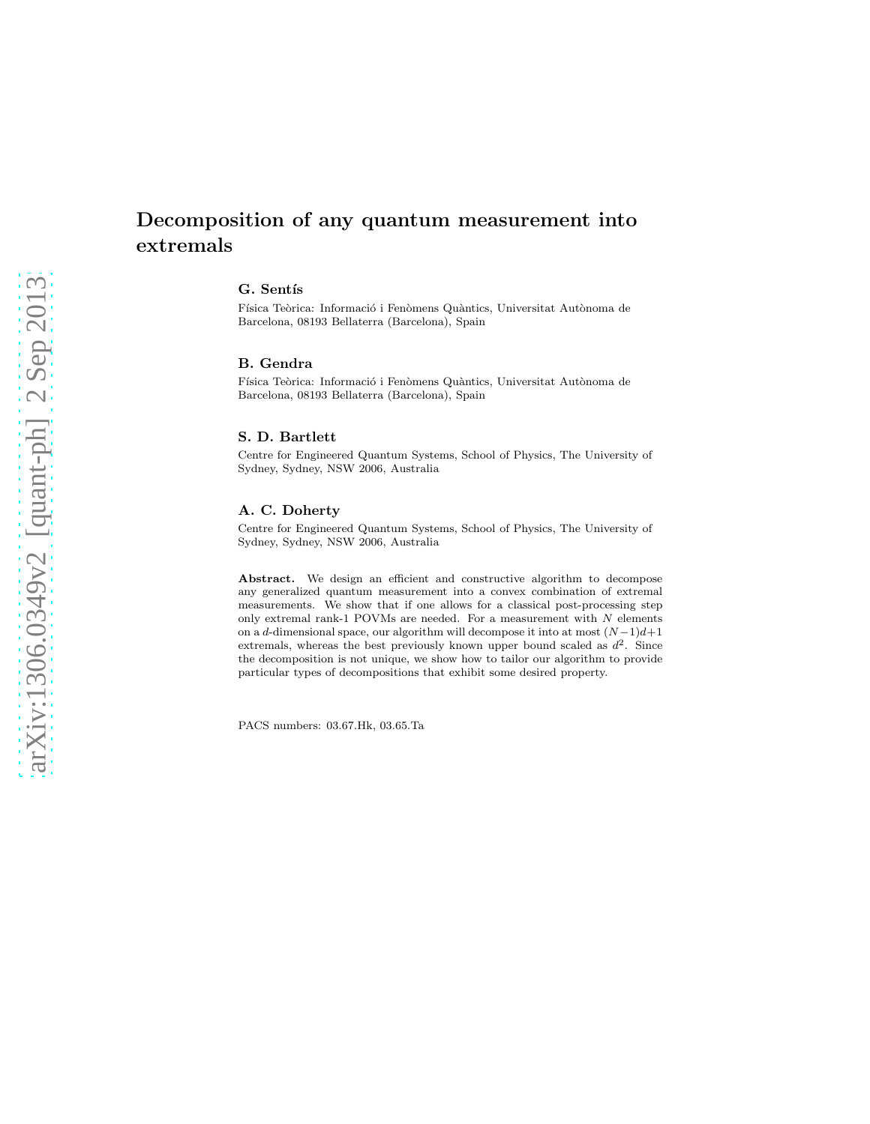# Decomposition of any quantum measurement into extremals

# G. Sentís

Física Teòrica: Informació i Fenòmens Quàntics, Universitat Autònoma de Barcelona, 08193 Bellaterra (Barcelona), Spain

#### B. Gendra

Física Teòrica: Informació i Fenòmens Quàntics, Universitat Autònoma de Barcelona, 08193 Bellaterra (Barcelona), Spain

# S. D. Bartlett

Centre for Engineered Quantum Systems, School of Physics, The University of Sydney, Sydney, NSW 2006, Australia

#### A. C. Doherty

Centre for Engineered Quantum Systems, School of Physics, The University of Sydney, Sydney, NSW 2006, Australia

Abstract. We design an efficient and constructive algorithm to decompose any generalized quantum measurement into a convex combination of extremal measurements. We show that if one allows for a classical post-processing step only extremal rank-1 POVMs are needed. For a measurement with  $N$  elements on a d-dimensional space, our algorithm will decompose it into at most  $(N-1)d+1$ extremals, whereas the best previously known upper bound scaled as  $d^2$ . Since the decomposition is not unique, we show how to tailor our algorithm to provide particular types of decompositions that exhibit some desired property.

PACS numbers: 03.67.Hk, 03.65.Ta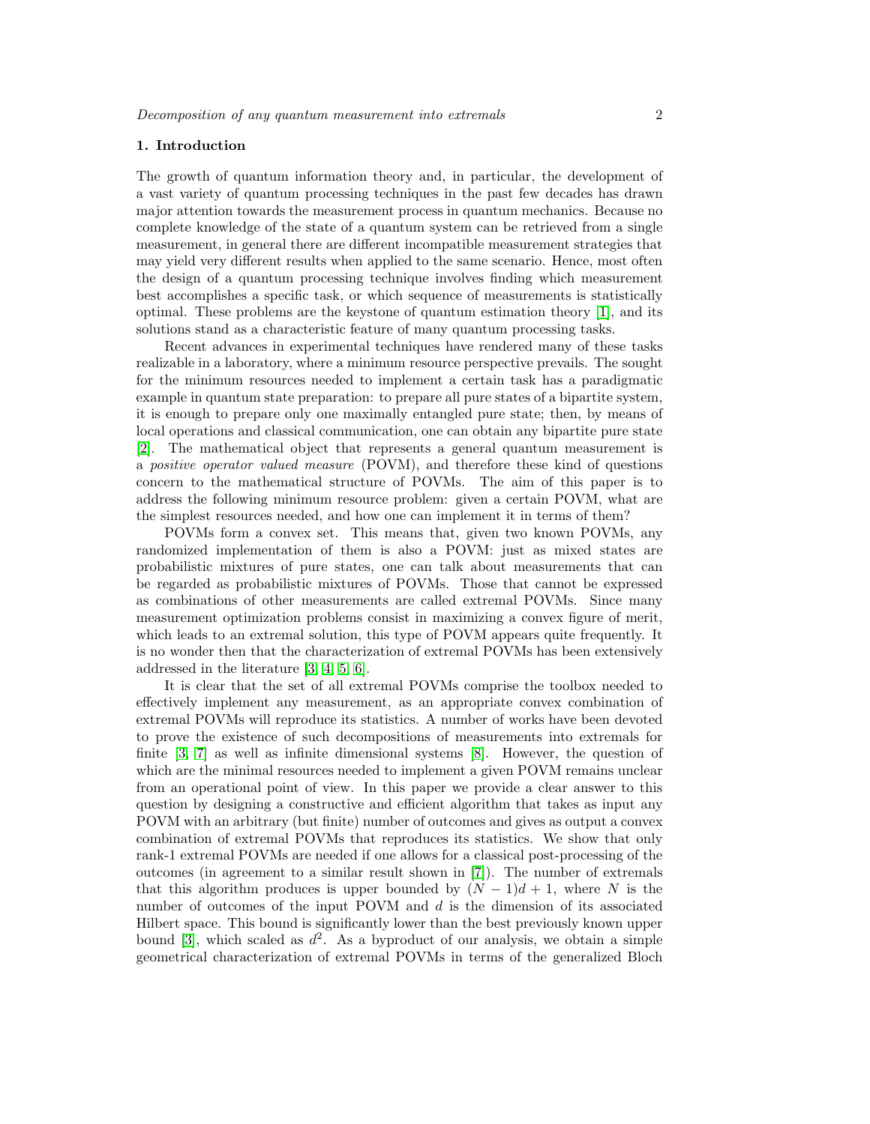# 1. Introduction

The growth of quantum information theory and, in particular, the development of a vast variety of quantum processing techniques in the past few decades has drawn major attention towards the measurement process in quantum mechanics. Because no complete knowledge of the state of a quantum system can be retrieved from a single measurement, in general there are different incompatible measurement strategies that may yield very different results when applied to the same scenario. Hence, most often the design of a quantum processing technique involves finding which measurement best accomplishes a specific task, or which sequence of measurements is statistically optimal. These problems are the keystone of quantum estimation theory [\[1\]](#page-12-0), and its solutions stand as a characteristic feature of many quantum processing tasks.

Recent advances in experimental techniques have rendered many of these tasks realizable in a laboratory, where a minimum resource perspective prevails. The sought for the minimum resources needed to implement a certain task has a paradigmatic example in quantum state preparation: to prepare all pure states of a bipartite system, it is enough to prepare only one maximally entangled pure state; then, by means of local operations and classical communication, one can obtain any bipartite pure state [\[2\]](#page-12-1). The mathematical object that represents a general quantum measurement is a positive operator valued measure (POVM), and therefore these kind of questions concern to the mathematical structure of POVMs. The aim of this paper is to address the following minimum resource problem: given a certain POVM, what are the simplest resources needed, and how one can implement it in terms of them?

POVMs form a convex set. This means that, given two known POVMs, any randomized implementation of them is also a POVM: just as mixed states are probabilistic mixtures of pure states, one can talk about measurements that can be regarded as probabilistic mixtures of POVMs. Those that cannot be expressed as combinations of other measurements are called extremal POVMs. Since many measurement optimization problems consist in maximizing a convex figure of merit, which leads to an extremal solution, this type of POVM appears quite frequently. It is no wonder then that the characterization of extremal POVMs has been extensively addressed in the literature [\[3,](#page-12-2) [4,](#page-12-3) [5,](#page-12-4) [6\]](#page-12-5).

It is clear that the set of all extremal POVMs comprise the toolbox needed to effectively implement any measurement, as an appropriate convex combination of extremal POVMs will reproduce its statistics. A number of works have been devoted to prove the existence of such decompositions of measurements into extremals for finite [\[3,](#page-12-2) [7\]](#page-12-6) as well as infinite dimensional systems [\[8\]](#page-13-0). However, the question of which are the minimal resources needed to implement a given POVM remains unclear from an operational point of view. In this paper we provide a clear answer to this question by designing a constructive and efficient algorithm that takes as input any POVM with an arbitrary (but finite) number of outcomes and gives as output a convex combination of extremal POVMs that reproduces its statistics. We show that only rank-1 extremal POVMs are needed if one allows for a classical post-processing of the outcomes (in agreement to a similar result shown in [\[7\]](#page-12-6)). The number of extremals that this algorithm produces is upper bounded by  $(N-1)d+1$ , where N is the number of outcomes of the input POVM and  $d$  is the dimension of its associated Hilbert space. This bound is significantly lower than the best previously known upper bound [\[3\]](#page-12-2), which scaled as  $d^2$ . As a byproduct of our analysis, we obtain a simple geometrical characterization of extremal POVMs in terms of the generalized Bloch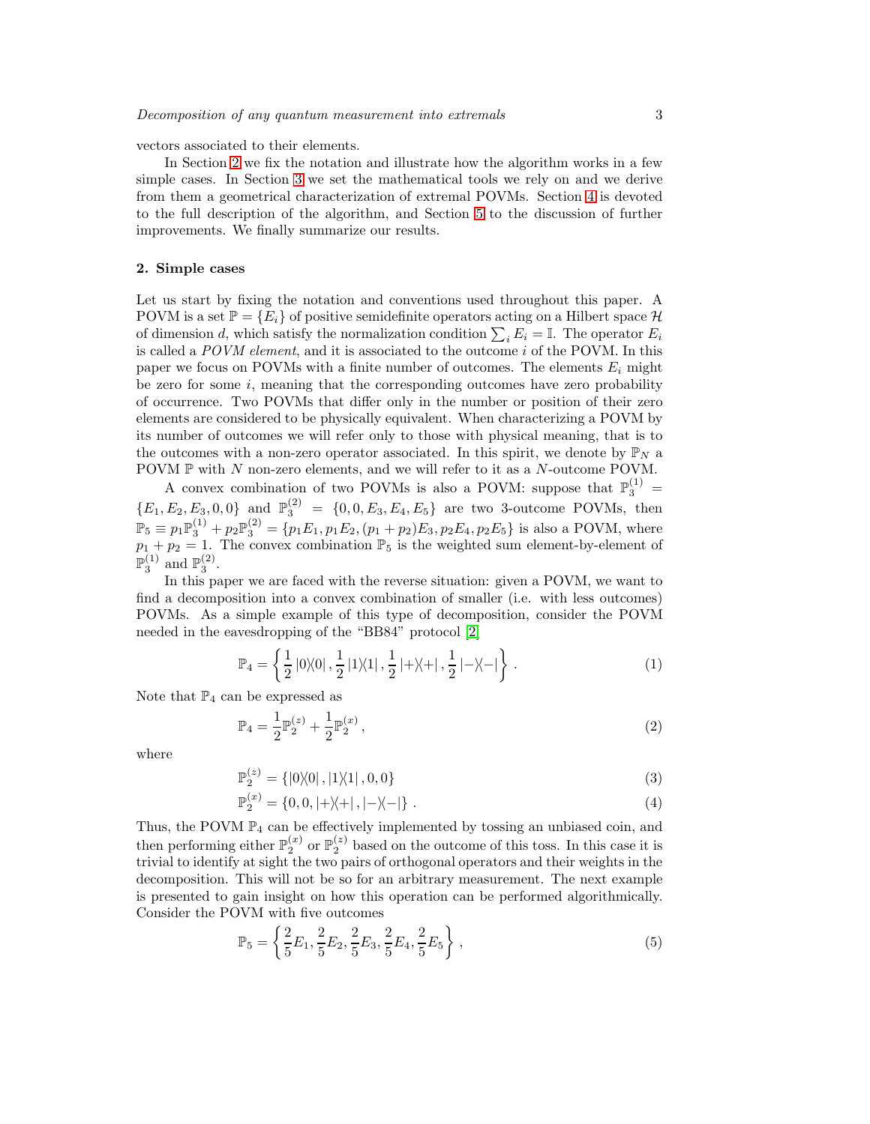vectors associated to their elements.

In Section [2](#page-2-0) we fix the notation and illustrate how the algorithm works in a few simple cases. In Section [3](#page-4-0) we set the mathematical tools we rely on and we derive from them a geometrical characterization of extremal POVMs. Section [4](#page-7-0) is devoted to the full description of the algorithm, and Section [5](#page-10-0) to the discussion of further improvements. We finally summarize our results.

#### <span id="page-2-0"></span>2. Simple cases

Let us start by fixing the notation and conventions used throughout this paper. A POVM is a set  $\mathbb{P} = \{E_i\}$  of positive semidefinite operators acting on a Hilbert space H of dimension d, which satisfy the normalization condition  $\sum_i E_i = \mathbb{I}$ . The operator  $E_i$ is called a  $POVM$  element, and it is associated to the outcome  $i$  of the POVM. In this paper we focus on POVMs with a finite number of outcomes. The elements  $E_i$  might be zero for some  $i$ , meaning that the corresponding outcomes have zero probability of occurrence. Two POVMs that differ only in the number or position of their zero elements are considered to be physically equivalent. When characterizing a POVM by its number of outcomes we will refer only to those with physical meaning, that is to the outcomes with a non-zero operator associated. In this spirit, we denote by  $\mathbb{P}_N$  a POVM  $\mathbb{P}$  with N non-zero elements, and we will refer to it as a N-outcome POVM. POVM  $P$  with N non-zero elements, and we will refer to it as a N-outcome POVM.

A convex combination of two POVMs is also a POVM: suppose that  $\mathbb{P}_3^{(1)}$  =  ${E_1, E_2, E_3, 0, 0}$  and  $\mathbb{P}_3^{(2)} = {0, 0, E_3, E_4, E_5}$  are two 3-outcome POVMs, then  $\mathbb{P}_5 \equiv p_1 \mathbb{P}_3^{(1)} + p_2 \mathbb{P}_3^{(2)} = \{p_1 E_1, p_1 E_2, (p_1 + p_2) E_3, p_2 E_4, p_2 E_5\}$  is also a POVM, where  $p_1 + p_2 = 1$ . The convex combination  $\mathbb{P}_5$  is the weighted sum element-by-element of  $\mathbb{P}_3^{(1)}$  and  $\mathbb{P}_3^{(2)}$ .

In this paper we are faced with the reverse situation: given a POVM, we want to find a decomposition into a convex combination of smaller (i.e. with less outcomes) POVMs. As a simple example of this type of decomposition, consider the POVM needed in the eavesdropping of the "BB84" protocol [\[2\]](#page-12-1)

$$
\mathbb{P}_4 = \left\{ \frac{1}{2} |0\rangle\langle 0|, \frac{1}{2} |1\rangle\langle 1|, \frac{1}{2} |+\rangle\langle +|, \frac{1}{2} |-\rangle\langle -| \right\}.
$$
 (1)

Note that  $\mathbb{P}_4$  can be expressed as

$$
\mathbb{P}_4 = \frac{1}{2} \mathbb{P}_2^{(z)} + \frac{1}{2} \mathbb{P}_2^{(x)},\tag{2}
$$

where

$$
\mathbb{P}_2^{(z)} = \{ |0\rangle\langle 0|, |1\rangle\langle 1|, 0, 0 \} \tag{3}
$$

$$
\mathbb{P}_2^{(x)} = \{0, 0, |+\rangle\langle+|, |-\rangle\langle-|\} \tag{4}
$$

Thus, the POVM  $\mathbb{P}_4$  can be effectively implemented by tossing an unbiased coin, and then performing either  $\mathbb{P}_2^{(x)}$  or  $\mathbb{P}_2^{(z)}$  based on the outcome of this toss. In this case it is trivial to identify at sight the two pairs of orthogonal operators and their weights in the decomposition. This will not be so for an arbitrary measurement. The next example is presented to gain insight on how this operation can be performed algorithmically. Consider the POVM with five outcomes

$$
\mathbb{P}_5 = \left\{ \frac{2}{5} E_1, \frac{2}{5} E_2, \frac{2}{5} E_3, \frac{2}{5} E_4, \frac{2}{5} E_5 \right\},\tag{5}
$$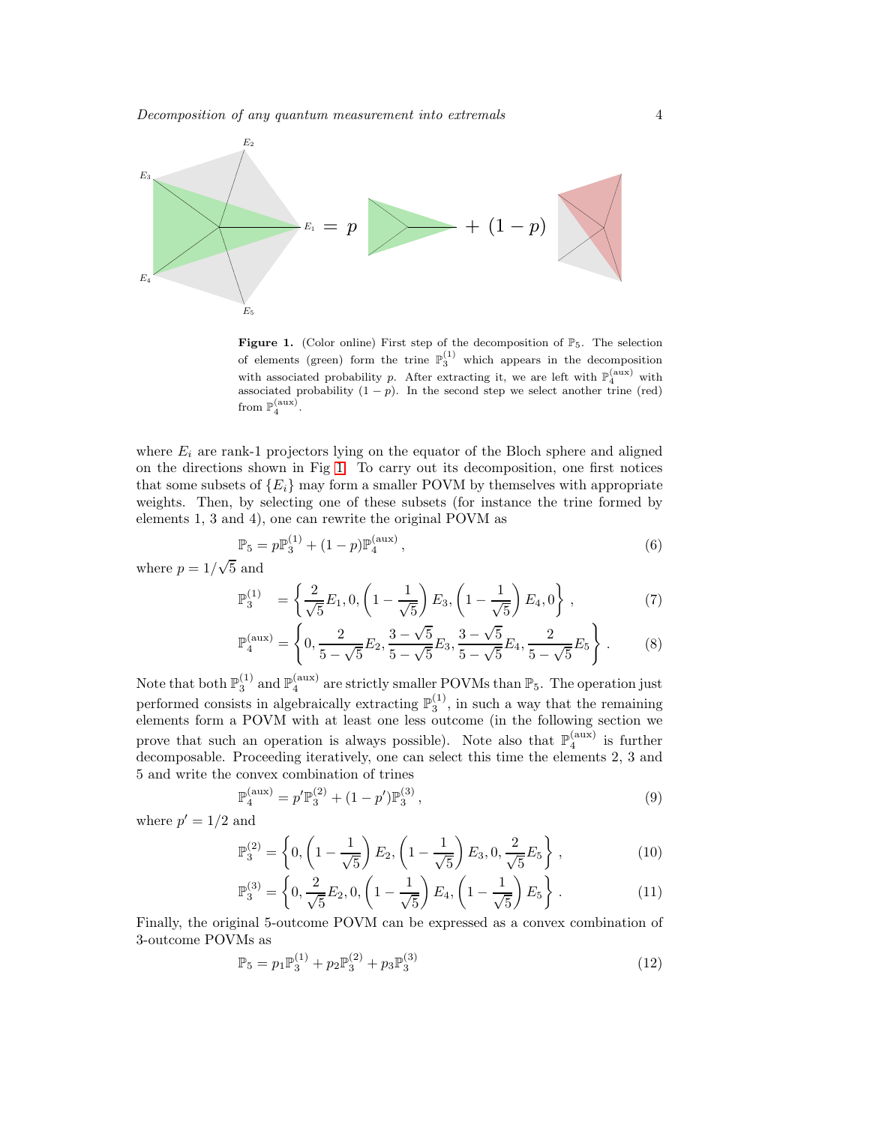

<span id="page-3-0"></span>**Figure 1.** (Color online) First step of the decomposition of  $\mathbb{P}_5$ . The selection of elements (green) form the trine  $\mathbb{P}_3^{(1)}$  which appears in the decomposition with associated probability p. After extracting it, we are left with  $\mathbb{P}_4^{(\text{aux})}$  with associated probability  $(1 - p)$ . In the second step we select another trine (red) from  $\mathbb{P}_4^{(\text{aux})}$ .

where  $E_i$  are rank-1 projectors lying on the equator of the Bloch sphere and aligned on the directions shown in Fig [1.](#page-3-0) To carry out its decomposition, one first notices that some subsets of  ${E_i}$  may form a smaller POVM by themselves with appropriate weights. Then, by selecting one of these subsets (for instance the trine formed by elements 1, 3 and 4), one can rewrite the original POVM as

$$
\mathbb{P}_5 = p\mathbb{P}_3^{(1)} + (1-p)\mathbb{P}_4^{(\text{aux})},\tag{6}
$$

where  $p = 1/\sqrt{5}$  and

$$
\mathbb{P}_3^{(1)} = \left\{ \frac{2}{\sqrt{5}} E_1, 0, \left( 1 - \frac{1}{\sqrt{5}} \right) E_3, \left( 1 - \frac{1}{\sqrt{5}} \right) E_4, 0 \right\},\tag{7}
$$

$$
\mathbb{P}_4^{(\text{aux})} = \left\{ 0, \frac{2}{5 - \sqrt{5}} E_2, \frac{3 - \sqrt{5}}{5 - \sqrt{5}} E_3, \frac{3 - \sqrt{5}}{5 - \sqrt{5}} E_4, \frac{2}{5 - \sqrt{5}} E_5 \right\}.
$$
 (8)

Note that both  $\mathbb{P}_3^{(1)}$  and  $\mathbb{P}_4^{(aux)}$  are strictly smaller POVMs than  $\mathbb{P}_5$ . The operation just performed consists in algebraically extracting  $\mathbb{P}_3^{(1)}$ , in such a way that the remaining elements form a POVM with at least one less outcome (in the following section we prove that such an operation is always possible). Note also that  $\mathbb{P}_4^{(aux)}$  is further decomposable. Proceeding iteratively, one can select this time the elements 2, 3 and 5 and write the convex combination of trines

$$
\mathbb{P}_4^{(\text{aux})} = p' \mathbb{P}_3^{(2)} + (1 - p') \mathbb{P}_3^{(3)},\tag{9}
$$

where  $p' = 1/2$  and

$$
\mathbb{P}_3^{(2)} = \left\{ 0, \left( 1 - \frac{1}{\sqrt{5}} \right) E_2, \left( 1 - \frac{1}{\sqrt{5}} \right) E_3, 0, \frac{2}{\sqrt{5}} E_5 \right\},\tag{10}
$$

$$
\mathbb{P}_3^{(3)} = \left\{ 0, \frac{2}{\sqrt{5}} E_2, 0, \left( 1 - \frac{1}{\sqrt{5}} \right) E_4, \left( 1 - \frac{1}{\sqrt{5}} \right) E_5 \right\}.
$$
 (11)

Finally, the original 5-outcome POVM can be expressed as a convex combination of 3-outcome POVMs as

$$
\mathbb{P}_5 = p_1 \mathbb{P}_3^{(1)} + p_2 \mathbb{P}_3^{(2)} + p_3 \mathbb{P}_3^{(3)} \tag{12}
$$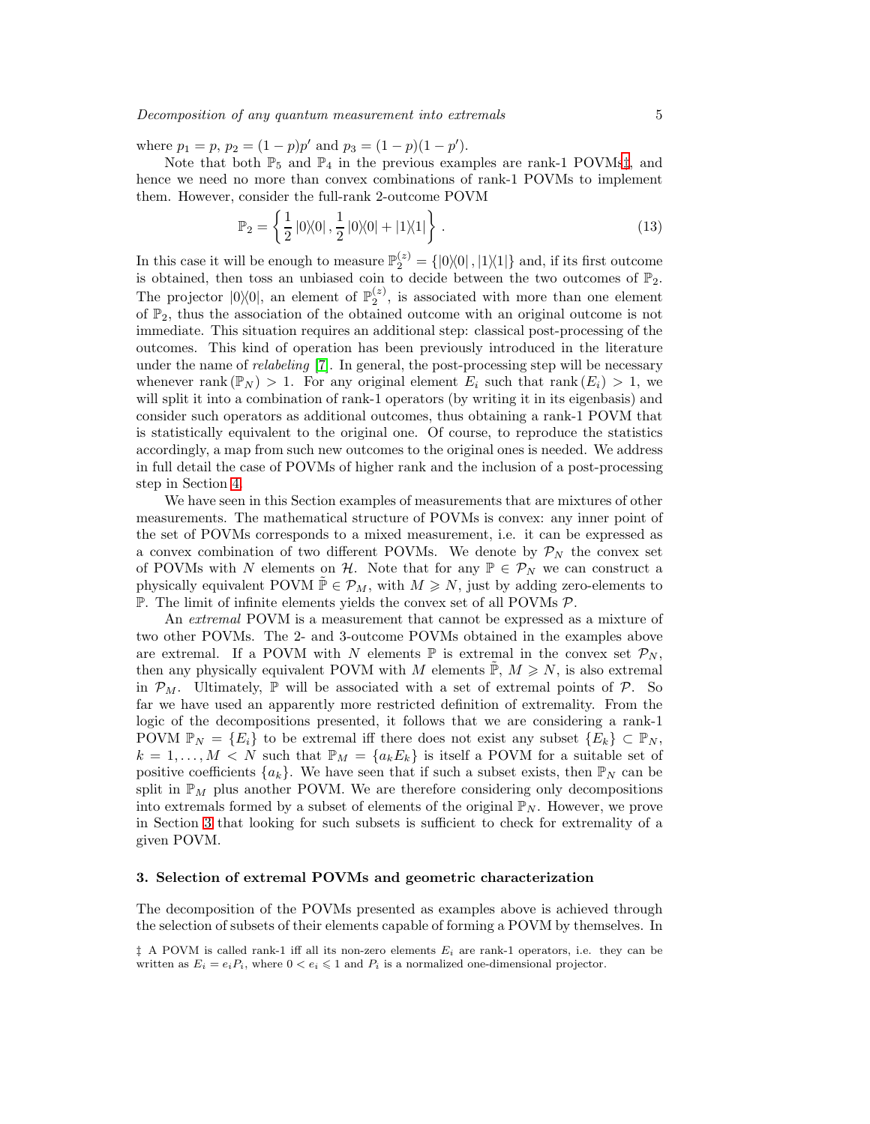where  $p_1 = p$ ,  $p_2 = (1 - p)p'$  and  $p_3 = (1 - p)(1 - p')$ .

Note that both  $\mathbb{P}_5$  and  $\mathbb{P}_4$  in the previous examples are rank-1 POVMs<sup>†</sup>, and hence we need no more than convex combinations of rank-1 POVMs to implement them. However, consider the full-rank 2-outcome POVM

$$
\mathbb{P}_2 = \left\{ \frac{1}{2} |0\rangle\langle 0|, \frac{1}{2} |0\rangle\langle 0| + |1\rangle\langle 1| \right\}.
$$
 (13)

In this case it will be enough to measure  $\mathbb{P}_2^{(z)} = \{ |0\rangle\langle 0|, |1\rangle\langle 1| \}$  and, if its first outcome is obtained, then toss an unbiased coin to decide between the two outcomes of  $\mathbb{P}_2$ . The projector  $|0\rangle\langle 0|$ , an element of  $\mathbb{P}_2^{(z)}$ , is associated with more than one element of  $\mathbb{P}_2$ , thus the association of the obtained outcome with an original outcome is not immediate. This situation requires an additional step: classical post-processing of the outcomes. This kind of operation has been previously introduced in the literature under the name of *relabeling* [\[7\]](#page-12-6). In general, the post-processing step will be necessary whenever rank  $(\mathbb{P}_N) > 1$ . For any original element  $E_i$  such that rank  $(E_i) > 1$ , we will split it into a combination of rank-1 operators (by writing it in its eigenbasis) and consider such operators as additional outcomes, thus obtaining a rank-1 POVM that is statistically equivalent to the original one. Of course, to reproduce the statistics accordingly, a map from such new outcomes to the original ones is needed. We address in full detail the case of POVMs of higher rank and the inclusion of a post-processing step in Section [4.](#page-7-0)

We have seen in this Section examples of measurements that are mixtures of other measurements. The mathematical structure of POVMs is convex: any inner point of the set of POVMs corresponds to a mixed measurement, i.e. it can be expressed as a convex combination of two different POVMs. We denote by  $\mathcal{P}_N$  the convex set of POVMs with N elements on H. Note that for any  $\mathbb{P} \in \mathcal{P}_N$  we can construct a physically equivalent POVM  $\mathbb{P} \in \mathcal{P}_M$ , with  $M \geq N$ , just by adding zero-elements to  $\mathbb{P}$ . The limit of infinite elements yields the convex set of all POVMs  $\mathcal{P}$ .

An extremal POVM is a measurement that cannot be expressed as a mixture of two other POVMs. The 2- and 3-outcome POVMs obtained in the examples above are extremal. If a POVM with N elements  $\mathbb P$  is extremal in the convex set  $\mathcal P_N$ , then any physically equivalent POVM with M elements  $\mathbb{P}, M \geq N$ , is also extremal in  $\mathcal{P}_M$ . Ultimately,  $\mathbb P$  will be associated with a set of extremal points of  $\mathcal P$ . So far we have used an apparently more restricted definition of extremality. From the logic of the decompositions presented, it follows that we are considering a rank-1 POVM  $\mathbb{P}_N = \{E_i\}$  to be extremal iff there does not exist any subset  $\{E_k\} \subset \mathbb{P}_N$ ,  $k = 1, \ldots, M < N$  such that  $\mathbb{P}_M = \{a_k E_k\}$  is itself a POVM for a suitable set of positive coefficients  $\{a_k\}$ . We have seen that if such a subset exists, then  $\mathbb{P}_N$  can be split in  $\mathbb{P}_M$  plus another POVM. We are therefore considering only decompositions into extremals formed by a subset of elements of the original  $\mathbb{P}_N$ . However, we prove in Section [3](#page-4-0) that looking for such subsets is sufficient to check for extremality of a given POVM.

#### <span id="page-4-0"></span>3. Selection of extremal POVMs and geometric characterization

The decomposition of the POVMs presented as examples above is achieved through the selection of subsets of their elements capable of forming a POVM by themselves. In

<span id="page-4-1"></span> $\ddagger$  A POVM is called rank-1 iff all its non-zero elements  $E_i$  are rank-1 operators, i.e. they can be written as  $E_i = e_i P_i$ , where  $0 < e_i \leq 1$  and  $P_i$  is a normalized one-dimensional projector.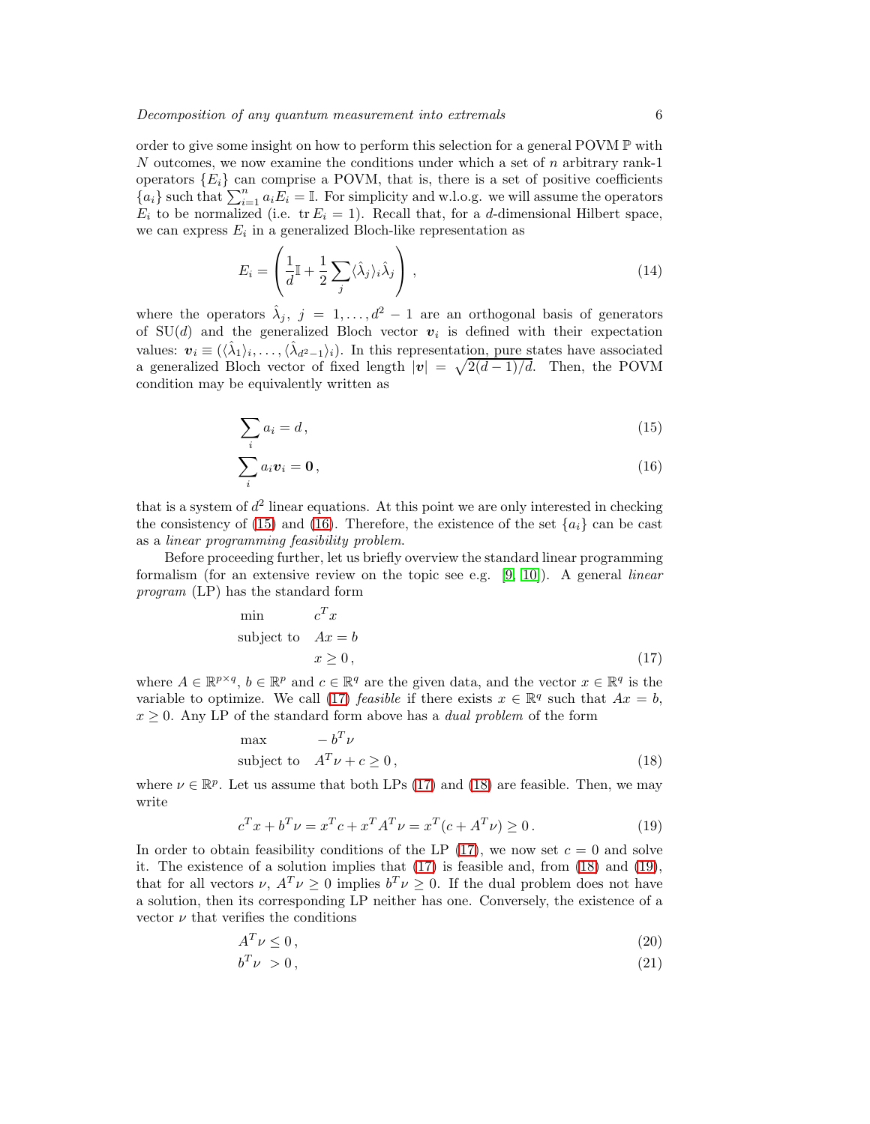order to give some insight on how to perform this selection for a general POVM  $\mathbb P$  with N outcomes, we now examine the conditions under which a set of  $n$  arbitrary rank-1 operators  ${E_i}$  can comprise a POVM, that is, there is a set of positive coefficients  ${a_i}$  such that  $\sum_{i=1}^n a_i E_i = \mathbb{I}$ . For simplicity and w.l.o.g. we will assume the operators  $E_i$  to be normalized (i.e.  $tr E_i = 1$ ). Recall that, for a *d*-dimensional Hilbert space, we can express  $E_i$  in a generalized Bloch-like representation as

<span id="page-5-5"></span>
$$
E_i = \left(\frac{1}{d}\mathbb{I} + \frac{1}{2}\sum_j \langle \hat{\lambda}_j \rangle_i \hat{\lambda}_j\right),\tag{14}
$$

where the operators  $\hat{\lambda}_j$ ,  $j = 1, ..., d^2 - 1$  are an orthogonal basis of generators of SU(d) and the generalized Bloch vector  $v_i$  is defined with their expectation values:  $\mathbf{v}_i \equiv (\langle \hat{\lambda}_1 \rangle_i, \dots, \langle \hat{\lambda}_{d^2-1} \rangle_i)$ . In this representation, pure states have associated a generalized Bloch vector of fixed length  $|v| = \sqrt{2(d-1)/d}$ . Then, the POVM condition may be equivalently written as

<span id="page-5-0"></span>
$$
\sum_{i} a_i = d \,,\tag{15}
$$

$$
\sum_{i} a_i \boldsymbol{v}_i = \mathbf{0},\tag{16}
$$

that is a system of  $d^2$  linear equations. At this point we are only interested in checking the consistency of [\(15\)](#page-5-0) and [\(16\)](#page-5-0). Therefore, the existence of the set  $\{a_i\}$  can be cast as a linear programming feasibility problem.

Before proceeding further, let us briefly overview the standard linear programming formalism (for an extensive review on the topic see e.g.  $[9, 10]$  $[9, 10]$ ). A general *linear* program (LP) has the standard form

<span id="page-5-1"></span>
$$
\begin{array}{ll}\n\text{min} & c^T x \\
\text{subject to} & Ax = b \\
& x \ge 0\n\end{array}\n\tag{17}
$$

where  $A \in \mathbb{R}^{p \times q}$ ,  $b \in \mathbb{R}^p$  and  $c \in \mathbb{R}^q$  are the given data, and the vector  $x \in \mathbb{R}^q$  is the variable to optimize. We call [\(17\)](#page-5-1) *feasible* if there exists  $x \in \mathbb{R}^q$  such that  $Ax = b$ ,  $x \geq 0$ . Any LP of the standard form above has a *dual problem* of the form

<span id="page-5-2"></span>
$$
\begin{array}{ll}\n\text{max} & -b^T \nu \\
\text{subject to} & A^T \nu + c \ge 0\n\end{array} \tag{18}
$$

where  $\nu \in \mathbb{R}^p$ . Let us assume that both LPs [\(17\)](#page-5-1) and [\(18\)](#page-5-2) are feasible. Then, we may write

<span id="page-5-3"></span>
$$
c^{T}x + b^{T}\nu = x^{T}c + x^{T}A^{T}\nu = x^{T}(c + A^{T}\nu) \ge 0.
$$
 (19)

In order to obtain feasibility conditions of the LP  $(17)$ , we now set  $c = 0$  and solve it. The existence of a solution implies that [\(17\)](#page-5-1) is feasible and, from [\(18\)](#page-5-2) and [\(19\)](#page-5-3), that for all vectors  $\nu$ ,  $A^T \nu \geq 0$  implies  $b^T \nu \geq 0$ . If the dual problem does not have a solution, then its corresponding LP neither has one. Conversely, the existence of a vector  $\nu$  that verifies the conditions

<span id="page-5-4"></span>
$$
A^T \nu \le 0,\tag{20}
$$

$$
b^T \nu > 0, \tag{21}
$$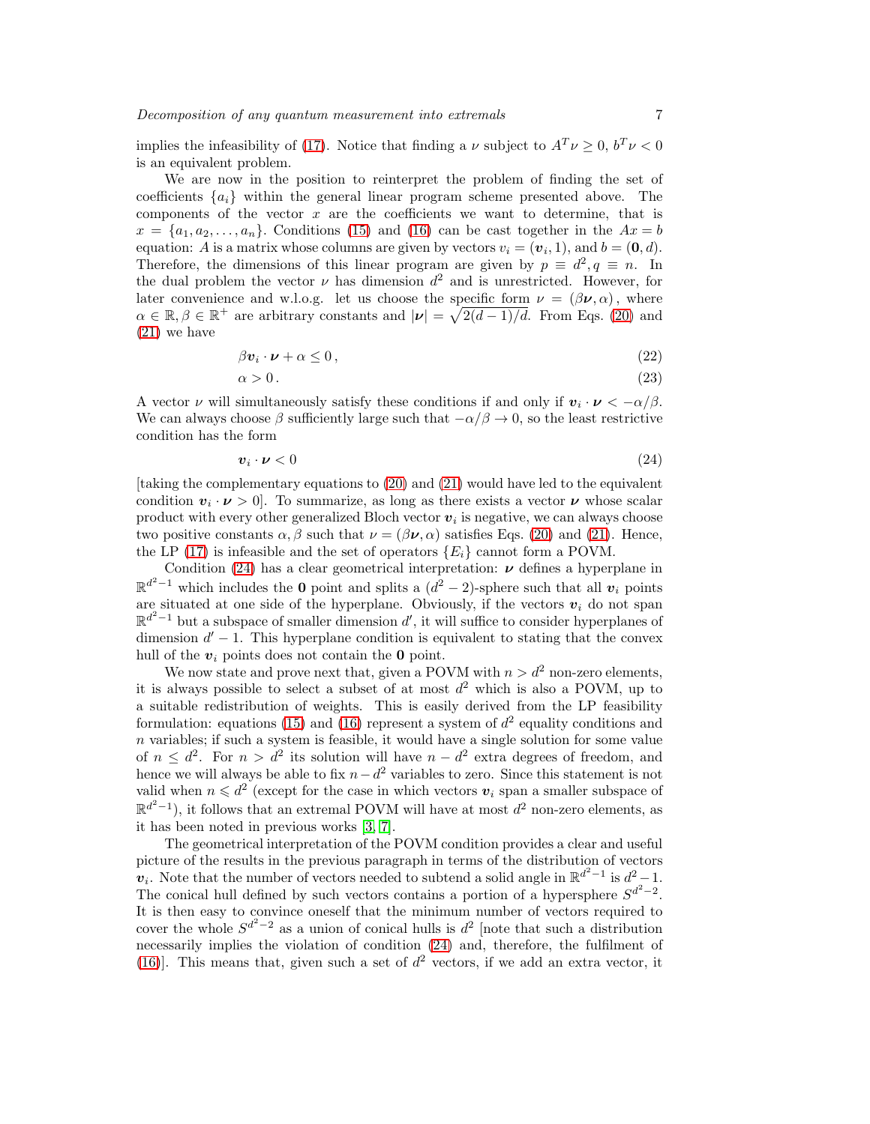implies the infeasibility of [\(17\)](#page-5-1). Notice that finding a  $\nu$  subject to  $A^T \nu \geq 0$ ,  $b^T \nu < 0$ is an equivalent problem.

We are now in the position to reinterpret the problem of finding the set of coefficients  $\{a_i\}$  within the general linear program scheme presented above. The components of the vector  $x$  are the coefficients we want to determine, that is  $x = \{a_1, a_2, \ldots, a_n\}$ . Conditions [\(15\)](#page-5-0) and [\(16\)](#page-5-0) can be cast together in the  $Ax = b$ equation: A is a matrix whose columns are given by vectors  $v_i = (\mathbf{v}_i, 1)$ , and  $b = (\mathbf{0}, d)$ . Therefore, the dimensions of this linear program are given by  $p \equiv d^2, q \equiv n$ . In the dual problem the vector  $\nu$  has dimension  $d^2$  and is unrestricted. However, for later convenience and w.l.o.g. let us choose the specific form  $\nu = (\beta \nu, \alpha)$ , where  $\alpha \in \mathbb{R}, \beta \in \mathbb{R}^+$  are arbitrary constants and  $|\nu| = \sqrt{2(d-1)/d}$ . From Eqs. [\(20\)](#page-5-4) and [\(21\)](#page-5-4) we have

$$
\beta v_i \cdot \boldsymbol{\nu} + \alpha \le 0, \qquad (22)
$$

$$
\alpha > 0\tag{23}
$$

A vector  $\nu$  will simultaneously satisfy these conditions if and only if  $v_i \cdot \nu < -\alpha/\beta$ . We can always choose  $\beta$  sufficiently large such that  $-\alpha/\beta \to 0$ , so the least restrictive condition has the form

<span id="page-6-0"></span>
$$
\mathbf{v}_i \cdot \mathbf{\nu} < 0 \tag{24}
$$

[taking the complementary equations to [\(20\)](#page-5-4) and [\(21\)](#page-5-4) would have led to the equivalent condition  $v_i \cdot \nu > 0$ . To summarize, as long as there exists a vector  $\nu$  whose scalar product with every other generalized Bloch vector  $v_i$  is negative, we can always choose two positive constants  $\alpha, \beta$  such that  $\nu = (\beta \nu, \alpha)$  satisfies Eqs. [\(20\)](#page-5-4) and [\(21\)](#page-5-4). Hence, the LP [\(17\)](#page-5-1) is infeasible and the set of operators  $\{E_i\}$  cannot form a POVM.

Condition [\(24\)](#page-6-0) has a clear geometrical interpretation:  $\nu$  defines a hyperplane in  $\mathbb{R}^{d^2-1}$  which includes the 0 point and splits a  $(d^2-2)$ -sphere such that all  $v_i$  points are situated at one side of the hyperplane. Obviously, if the vectors  $v_i$  do not span  $\mathbb{R}^{d^2-1}$  but a subspace of smaller dimension d', it will suffice to consider hyperplanes of dimension  $d'-1$ . This hyperplane condition is equivalent to stating that the convex hull of the  $v_i$  points does not contain the **0** point.

We now state and prove next that, given a POVM with  $n > d^2$  non-zero elements, it is always possible to select a subset of at most  $d^2$  which is also a POVM, up to a suitable redistribution of weights. This is easily derived from the LP feasibility formulation: equations [\(15\)](#page-5-0) and [\(16\)](#page-5-0) represent a system of  $d^2$  equality conditions and  $n$  variables; if such a system is feasible, it would have a single solution for some value of  $n \leq d^2$ . For  $n > d^2$  its solution will have  $n - d^2$  extra degrees of freedom, and hence we will always be able to fix  $n-d^2$  variables to zero. Since this statement is not valid when  $n \leq d^2$  (except for the case in which vectors  $v_i$  span a smaller subspace of  $\mathbb{R}^{d^2-1}$ ), it follows that an extremal POVM will have at most  $d^2$  non-zero elements, as it has been noted in previous works [\[3,](#page-12-2) [7\]](#page-12-6).

The geometrical interpretation of the POVM condition provides a clear and useful picture of the results in the previous paragraph in terms of the distribution of vectors  $\mathbf{v}_i$ . Note that the number of vectors needed to subtend a solid angle in  $\mathbb{R}^{d^2-1}$  is  $d^2-1$ . The conical hull defined by such vectors contains a portion of a hypersphere  $S^{d^2-2}$ . It is then easy to convince oneself that the minimum number of vectors required to cover the whole  $S^{d^2-2}$  as a union of conical hulls is  $d^2$  [note that such a distribution necessarily implies the violation of condition [\(24\)](#page-6-0) and, therefore, the fulfilment of [\(16\)](#page-5-0)]. This means that, given such a set of  $d^2$  vectors, if we add an extra vector, it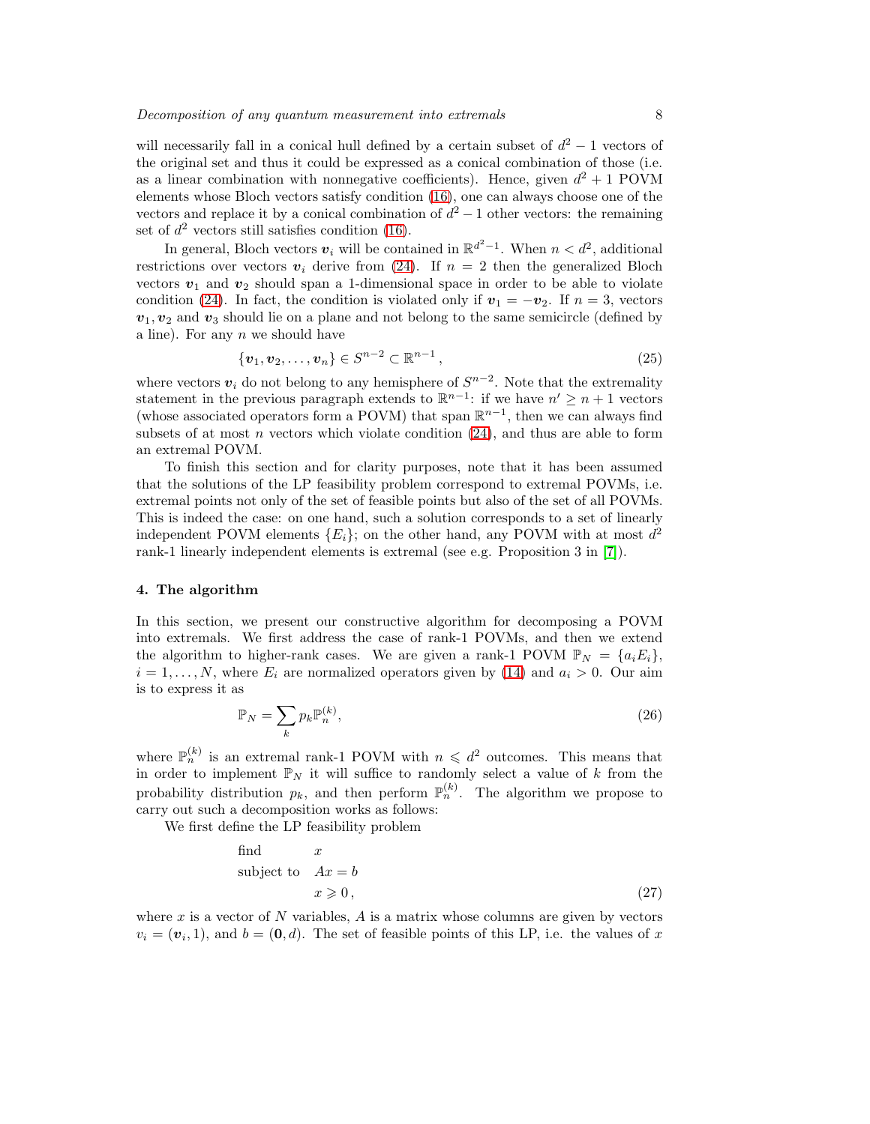will necessarily fall in a conical hull defined by a certain subset of  $d^2 - 1$  vectors of the original set and thus it could be expressed as a conical combination of those (i.e. as a linear combination with nonnegative coefficients). Hence, given  $d^2 + 1$  POVM elements whose Bloch vectors satisfy condition [\(16\)](#page-5-0), one can always choose one of the vectors and replace it by a conical combination of  $d^2 - 1$  other vectors: the remaining set of  $d^2$  vectors still satisfies condition [\(16\)](#page-5-0).

In general, Bloch vectors  $v_i$  will be contained in  $\mathbb{R}^{d^2-1}$ . When  $n < d^2$ , additional restrictions over vectors  $v_i$  derive from [\(24\)](#page-6-0). If  $n = 2$  then the generalized Bloch vectors  $v_1$  and  $v_2$  should span a 1-dimensional space in order to be able to violate condition [\(24\)](#page-6-0). In fact, the condition is violated only if  $v_1 = -v_2$ . If  $n = 3$ , vectors  $v_1, v_2$  and  $v_3$  should lie on a plane and not belong to the same semicircle (defined by a line). For any  $n$  we should have

$$
\{\boldsymbol{v}_1, \boldsymbol{v}_2, \dots, \boldsymbol{v}_n\} \in S^{n-2} \subset \mathbb{R}^{n-1},
$$
\n(25)

where vectors  $v_i$  do not belong to any hemisphere of  $S^{n-2}$ . Note that the extremality statement in the previous paragraph extends to  $\mathbb{R}^{n-1}$ : if we have  $n' \geq n+1$  vectors (whose associated operators form a POVM) that span  $\mathbb{R}^{n-1}$ , then we can always find subsets of at most n vectors which violate condition  $(24)$ , and thus are able to form an extremal POVM.

To finish this section and for clarity purposes, note that it has been assumed that the solutions of the LP feasibility problem correspond to extremal POVMs, i.e. extremal points not only of the set of feasible points but also of the set of all POVMs. This is indeed the case: on one hand, such a solution corresponds to a set of linearly independent POVM elements  ${E<sub>i</sub>}$ ; on the other hand, any POVM with at most  $d<sup>2</sup>$ rank-1 linearly independent elements is extremal (see e.g. Proposition 3 in [\[7\]](#page-12-6)).

#### <span id="page-7-0"></span>4. The algorithm

In this section, we present our constructive algorithm for decomposing a POVM into extremals. We first address the case of rank-1 POVMs, and then we extend the algorithm to higher-rank cases. We are given a rank-1 POVM  $\mathbb{P}_N = \{a_i E_i\}$ ,  $i = 1, \ldots, N$ , where  $E_i$  are normalized operators given by [\(14\)](#page-5-5) and  $a_i > 0$ . Our aim is to express it as

$$
\mathbb{P}_N = \sum_k p_k \mathbb{P}_n^{(k)},\tag{26}
$$

where  $\mathbb{P}_n^{(k)}$  is an extremal rank-1 POVM with  $n \leq d^2$  outcomes. This means that in order to implement  $\mathbb{P}_N$  it will suffice to randomly select a value of k from the probability distribution  $p_k$ , and then perform  $\mathbb{P}_n^{(k)}$ . The algorithm we propose to carry out such a decomposition works as follows:

We first define the LP feasibility problem

<span id="page-7-1"></span>find 
$$
x
$$
  
subject to  $Ax = b$   
 $x \ge 0$ , (27)

where x is a vector of N variables,  $A$  is a matrix whose columns are given by vectors  $v_i = (\boldsymbol{v}_i, 1)$ , and  $b = (0, d)$ . The set of feasible points of this LP, i.e. the values of x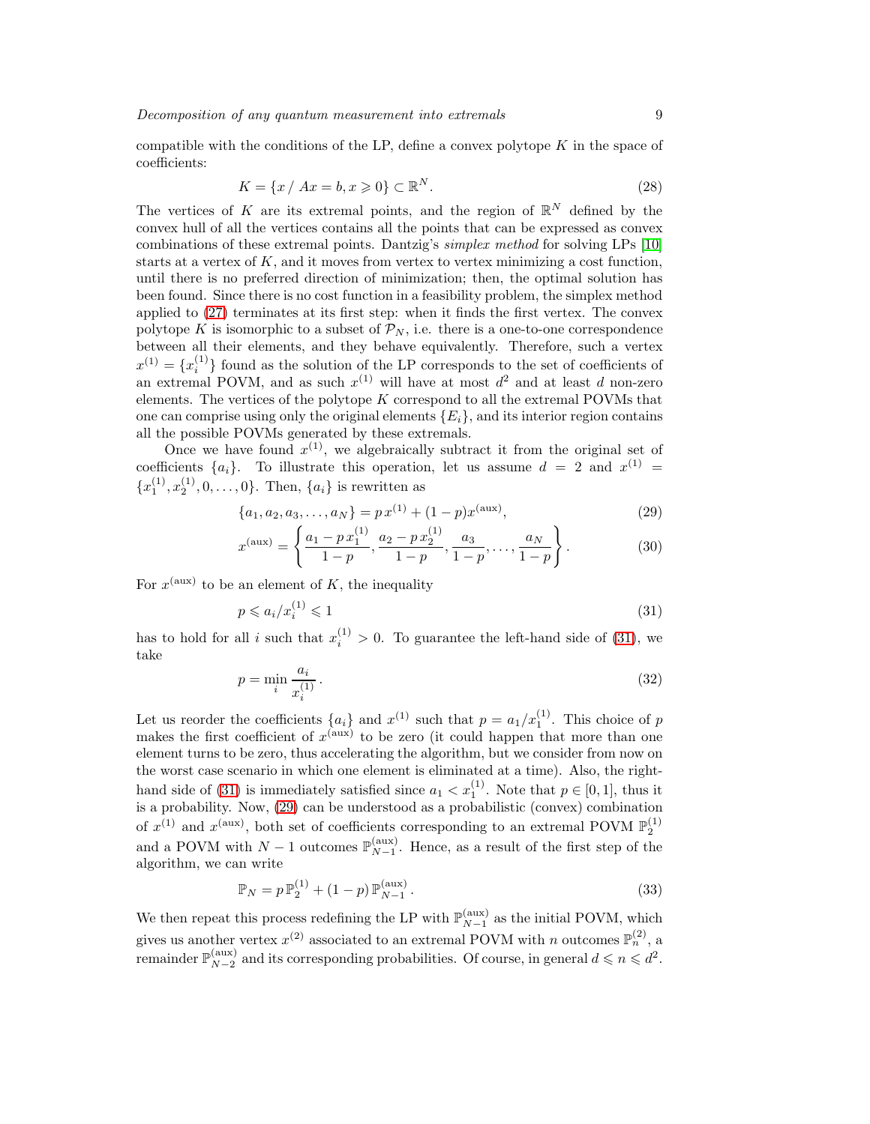compatible with the conditions of the LP, define a convex polytope  $K$  in the space of coefficients:

$$
K = \{x \mid Ax = b, x \geqslant 0\} \subset \mathbb{R}^N. \tag{28}
$$

The vertices of K are its extremal points, and the region of  $\mathbb{R}^N$  defined by the convex hull of all the vertices contains all the points that can be expressed as convex combinations of these extremal points. Dantzig's simplex method for solving LPs [\[10\]](#page-13-2) starts at a vertex of  $K$ , and it moves from vertex to vertex minimizing a cost function, until there is no preferred direction of minimization; then, the optimal solution has been found. Since there is no cost function in a feasibility problem, the simplex method applied to [\(27\)](#page-7-1) terminates at its first step: when it finds the first vertex. The convex polytope K is isomorphic to a subset of  $\mathcal{P}_N$ , i.e. there is a one-to-one correspondence between all their elements, and they behave equivalently. Therefore, such a vertex  $x^{(1)} = \{x_i^{(1)}\}$  found as the solution of the LP corresponds to the set of coefficients of an extremal POVM, and as such  $x^{(1)}$  will have at most  $d^2$  and at least d non-zero elements. The vertices of the polytope  $K$  correspond to all the extremal POVMs that one can comprise using only the original elements  $\{E_i\}$ , and its interior region contains all the possible POVMs generated by these extremals.

Once we have found  $x^{(1)}$ , we algebraically subtract it from the original set of coefficients  $\{a_i\}$ . To illustrate this operation, let us assume  $d = 2$  and  $x^{(1)} =$  ${x_1^{(1)}, x_2^{(1)}, 0, \ldots, 0}.$  Then,  ${a_i}$  is rewritten as

<span id="page-8-1"></span>
$$
\{a_1, a_2, a_3, \dots, a_N\} = p x^{(1)} + (1 - p) x^{(\text{aux})},\tag{29}
$$

$$
x^{(\text{aux})} = \left\{ \frac{a_1 - p x_1^{(1)}}{1 - p}, \frac{a_2 - p x_2^{(1)}}{1 - p}, \frac{a_3}{1 - p}, \dots, \frac{a_N}{1 - p} \right\}.
$$
 (30)

For  $x^{(\text{aux})}$  to be an element of K, the inequality

<span id="page-8-0"></span>
$$
p \leqslant a_i/x_i^{(1)} \leqslant 1\tag{31}
$$

has to hold for all i such that  $x_i^{(1)} > 0$ . To guarantee the left-hand side of [\(31\)](#page-8-0), we take

$$
p = \min_{i} \frac{a_i}{x_i^{(1)}}.
$$
\n
$$
(32)
$$

Let us reorder the coefficients  $\{a_i\}$  and  $x^{(1)}$  such that  $p = a_1/x_1^{(1)}$ . This choice of p makes the first coefficient of  $x^{(aux)}$  to be zero (it could happen that more than one element turns to be zero, thus accelerating the algorithm, but we consider from now on the worst case scenario in which one element is eliminated at a time). Also, the right-hand side of [\(31\)](#page-8-0) is immediately satisfied since  $a_1 < x_1^{(1)}$ . Note that  $p \in [0,1]$ , thus it is a probability. Now, [\(29\)](#page-8-1) can be understood as a probabilistic (convex) combination of  $x^{(1)}$  and  $x^{(aux)}$ , both set of coefficients corresponding to an extremal POVM  $\mathbb{P}_2^{(1)}$ and a POVM with  $N-1$  outcomes  $\mathbb{P}_{N-1}^{(\text{aux})}$ . Hence, as a result of the first step of the algorithm, we can write

$$
\mathbb{P}_N = p \mathbb{P}_2^{(1)} + (1 - p) \mathbb{P}_{N-1}^{(\text{aux})}.
$$
\n(33)

We then repeat this process redefining the LP with  $\mathbb{P}_{N-1}^{(\text{aux})}$  as the initial POVM, which gives us another vertex  $x^{(2)}$  associated to an extremal POVM with n outcomes  $\mathbb{P}_n^{(2)}$ , a remainder  $\mathbb{P}_{N-2}^{(\text{aux})}$  and its corresponding probabilities. Of course, in general  $d \leqslant n \leqslant d^2$ .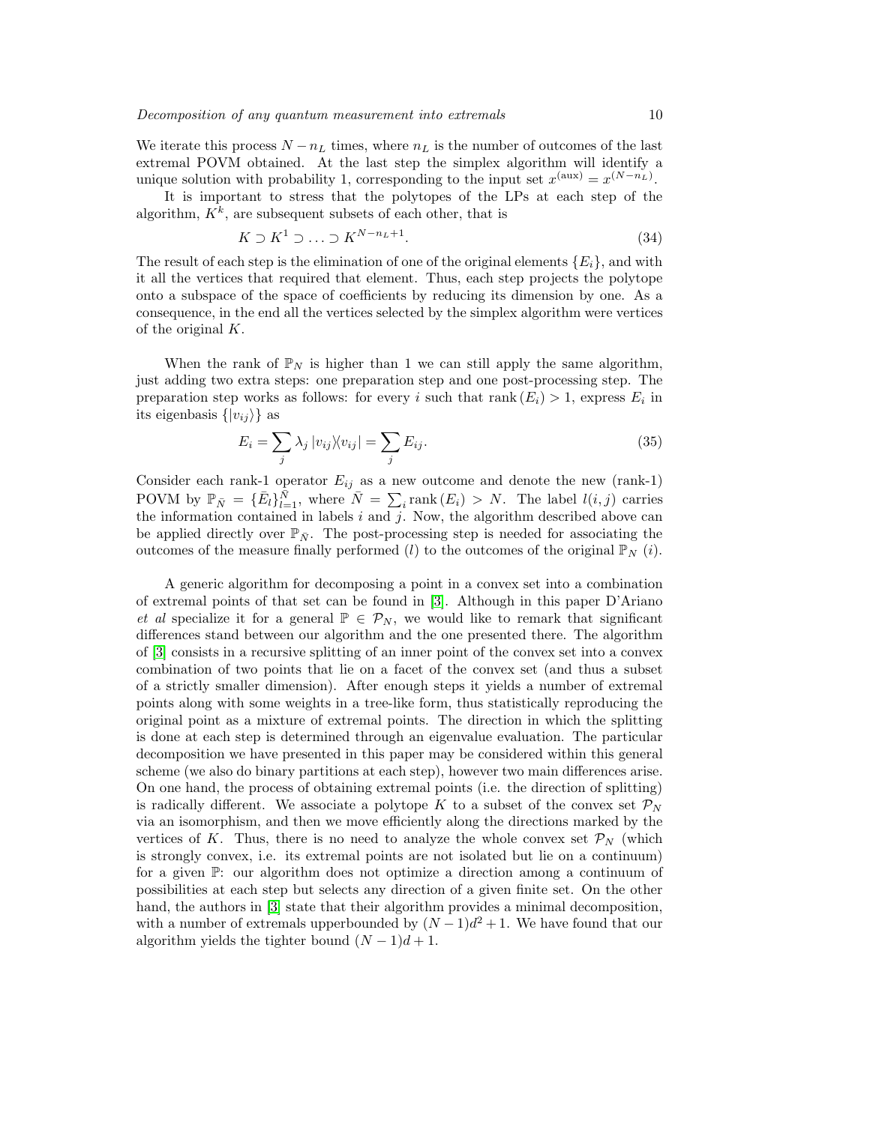We iterate this process  $N - n<sub>L</sub>$  times, where  $n<sub>L</sub>$  is the number of outcomes of the last extremal POVM obtained. At the last step the simplex algorithm will identify a unique solution with probability 1, corresponding to the input set  $x^{(aux)} = x^{(N-n_L)}$ .

It is important to stress that the polytopes of the LPs at each step of the algorithm,  $K^k$ , are subsequent subsets of each other, that is

$$
K \supset K^1 \supset \ldots \supset K^{N-n_L+1}.\tag{34}
$$

The result of each step is the elimination of one of the original elements  ${E_i}$ , and with it all the vertices that required that element. Thus, each step projects the polytope onto a subspace of the space of coefficients by reducing its dimension by one. As a consequence, in the end all the vertices selected by the simplex algorithm were vertices of the original  $K$ .

When the rank of  $\mathbb{P}_N$  is higher than 1 we can still apply the same algorithm, just adding two extra steps: one preparation step and one post-processing step. The preparation step works as follows: for every i such that  $rank(E_i) > 1$ , express  $E_i$  in its eigenbasis  $\{|v_{ij}\rangle\}$  as

$$
E_i = \sum_j \lambda_j |v_{ij}\rangle\langle v_{ij}| = \sum_j E_{ij}.
$$
\n(35)

Consider each rank-1 operator  $E_{ij}$  as a new outcome and denote the new (rank-1) POVM by  $\mathbb{P}_{\bar{N}} = {\bar{E}_l} \}_{l=1}^{\bar{N}}$ , where  $\bar{N} = \sum_i \text{rank}(E_i) > N$ . The label  $l(i, j)$  carries the information contained in labels  $i$  and  $j$ . Now, the algorithm described above can be applied directly over  $\mathbb{P}_{\bar{N}}$ . The post-processing step is needed for associating the outcomes of the measure finally performed (l) to the outcomes of the original  $\mathbb{P}_{N}(i)$ .

A generic algorithm for decomposing a point in a convex set into a combination of extremal points of that set can be found in [\[3\]](#page-12-2). Although in this paper D'Ariano et al specialize it for a general  $\mathbb{P} \in \mathcal{P}_N$ , we would like to remark that significant differences stand between our algorithm and the one presented there. The algorithm of [\[3\]](#page-12-2) consists in a recursive splitting of an inner point of the convex set into a convex combination of two points that lie on a facet of the convex set (and thus a subset of a strictly smaller dimension). After enough steps it yields a number of extremal points along with some weights in a tree-like form, thus statistically reproducing the original point as a mixture of extremal points. The direction in which the splitting is done at each step is determined through an eigenvalue evaluation. The particular decomposition we have presented in this paper may be considered within this general scheme (we also do binary partitions at each step), however two main differences arise. On one hand, the process of obtaining extremal points (i.e. the direction of splitting) is radically different. We associate a polytope K to a subset of the convex set  $\mathcal{P}_N$ via an isomorphism, and then we move efficiently along the directions marked by the vertices of K. Thus, there is no need to analyze the whole convex set  $\mathcal{P}_N$  (which is strongly convex, i.e. its extremal points are not isolated but lie on a continuum) for a given P: our algorithm does not optimize a direction among a continuum of possibilities at each step but selects any direction of a given finite set. On the other hand, the authors in [\[3\]](#page-12-2) state that their algorithm provides a minimal decomposition, with a number of extremals upperbounded by  $(N-1)d^2 + 1$ . We have found that our algorithm yields the tighter bound  $(N-1)d+1$ .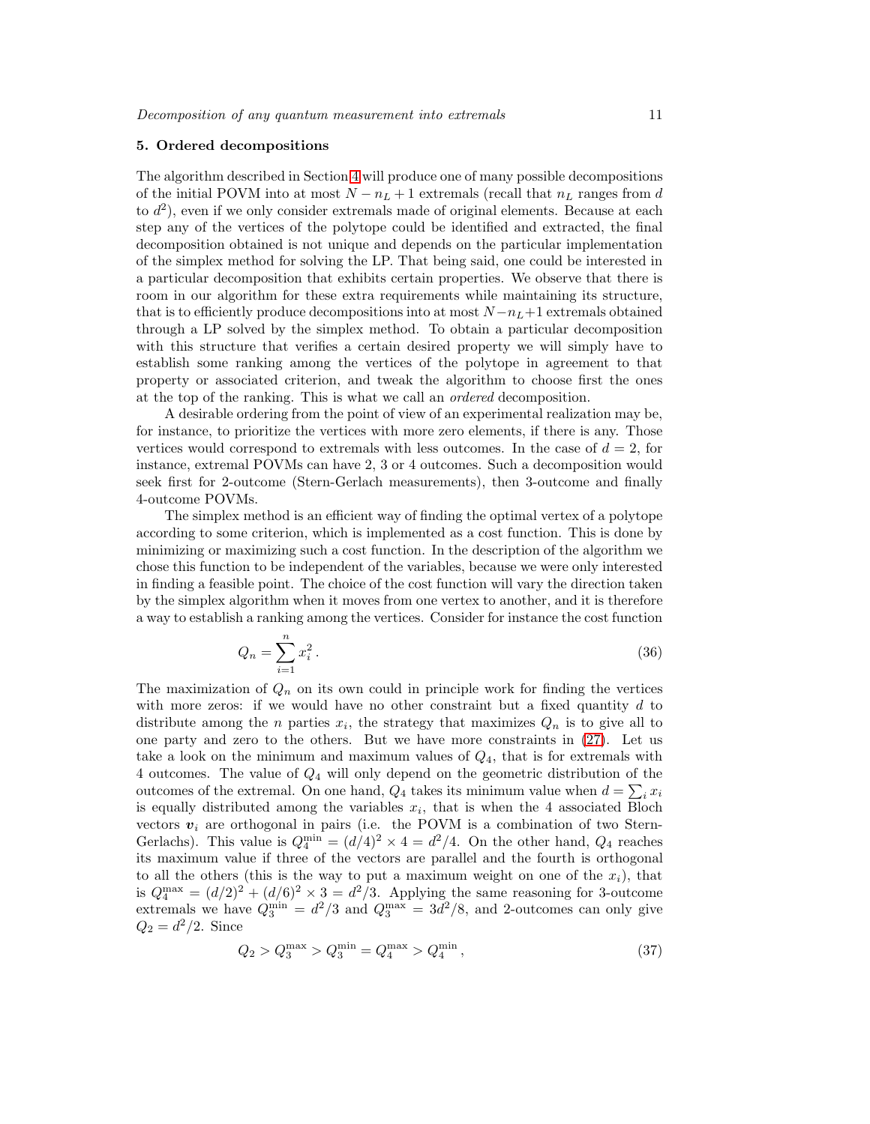#### <span id="page-10-0"></span>5. Ordered decompositions

The algorithm described in Section [4](#page-7-0) will produce one of many possible decompositions of the initial POVM into at most  $N - n_L + 1$  extremals (recall that  $n_L$  ranges from d to  $d^2$ ), even if we only consider extremals made of original elements. Because at each step any of the vertices of the polytope could be identified and extracted, the final decomposition obtained is not unique and depends on the particular implementation of the simplex method for solving the LP. That being said, one could be interested in a particular decomposition that exhibits certain properties. We observe that there is room in our algorithm for these extra requirements while maintaining its structure, that is to efficiently produce decompositions into at most  $N - n_L + 1$  extremals obtained through a LP solved by the simplex method. To obtain a particular decomposition with this structure that verifies a certain desired property we will simply have to establish some ranking among the vertices of the polytope in agreement to that property or associated criterion, and tweak the algorithm to choose first the ones at the top of the ranking. This is what we call an ordered decomposition.

A desirable ordering from the point of view of an experimental realization may be, for instance, to prioritize the vertices with more zero elements, if there is any. Those vertices would correspond to extremals with less outcomes. In the case of  $d = 2$ , for instance, extremal POVMs can have 2, 3 or 4 outcomes. Such a decomposition would seek first for 2-outcome (Stern-Gerlach measurements), then 3-outcome and finally 4-outcome POVMs.

The simplex method is an efficient way of finding the optimal vertex of a polytope according to some criterion, which is implemented as a cost function. This is done by minimizing or maximizing such a cost function. In the description of the algorithm we chose this function to be independent of the variables, because we were only interested in finding a feasible point. The choice of the cost function will vary the direction taken by the simplex algorithm when it moves from one vertex to another, and it is therefore a way to establish a ranking among the vertices. Consider for instance the cost function

<span id="page-10-1"></span>
$$
Q_n = \sum_{i=1}^n x_i^2.
$$
 (36)

The maximization of  $Q_n$  on its own could in principle work for finding the vertices with more zeros: if we would have no other constraint but a fixed quantity  $d$  to distribute among the *n* parties  $x_i$ , the strategy that maximizes  $Q_n$  is to give all to one party and zero to the others. But we have more constraints in [\(27\)](#page-7-1). Let us take a look on the minimum and maximum values of  $Q_4$ , that is for extremals with 4 outcomes. The value of Q<sup>4</sup> will only depend on the geometric distribution of the outcomes of the extremal. On one hand,  $Q_4$  takes its minimum value when  $d = \sum_i x_i$ is equally distributed among the variables  $x_i$ , that is when the 4 associated Bloch vectors  $v_i$  are orthogonal in pairs (i.e. the POVM is a combination of two Stern-Gerlachs). This value is  $Q_4^{\min} = (d/4)^2 \times 4 = d^2/4$ . On the other hand,  $Q_4$  reaches its maximum value if three of the vectors are parallel and the fourth is orthogonal to all the others (this is the way to put a maximum weight on one of the  $x_i$ ), that is  $Q_4^{\text{max}} = (d/2)^2 + (d/6)^2 \times 3 = d^2/3$ . Applying the same reasoning for 3-outcome extremals we have  $Q_3^{\text{min}} = d^2/3$  and  $Q_3^{\text{max}} = 3d^2/8$ , and 2-outcomes can only give  $Q_2 = d^2/2$ . Since

$$
Q_2 > Q_3^{\max} > Q_3^{\min} = Q_4^{\max} > Q_4^{\min}, \tag{37}
$$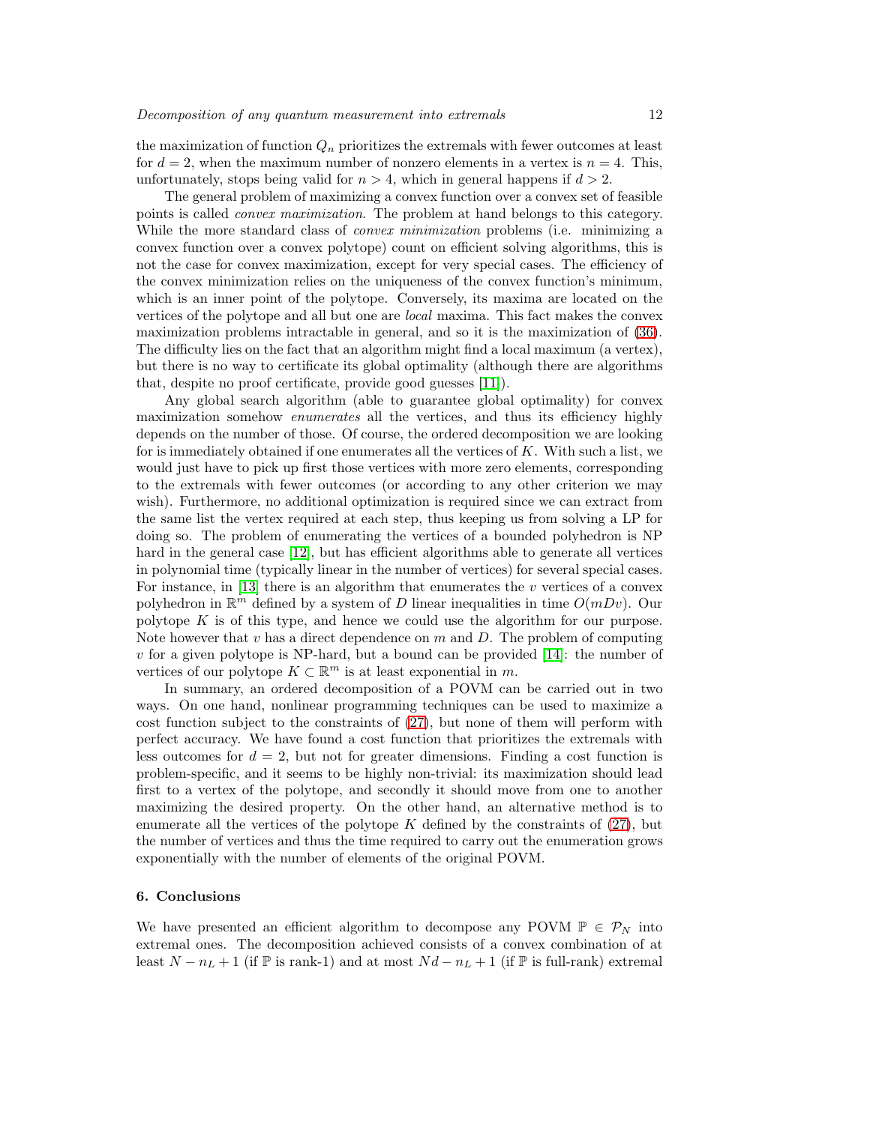the maximization of function  $Q_n$  prioritizes the extremals with fewer outcomes at least for  $d = 2$ , when the maximum number of nonzero elements in a vertex is  $n = 4$ . This, unfortunately, stops being valid for  $n > 4$ , which in general happens if  $d > 2$ .

The general problem of maximizing a convex function over a convex set of feasible points is called convex maximization. The problem at hand belongs to this category. While the more standard class of *convex minimization* problems (i.e. minimizing a convex function over a convex polytope) count on efficient solving algorithms, this is not the case for convex maximization, except for very special cases. The efficiency of the convex minimization relies on the uniqueness of the convex function's minimum, which is an inner point of the polytope. Conversely, its maxima are located on the vertices of the polytope and all but one are local maxima. This fact makes the convex maximization problems intractable in general, and so it is the maximization of [\(36\)](#page-10-1). The difficulty lies on the fact that an algorithm might find a local maximum (a vertex), but there is no way to certificate its global optimality (although there are algorithms that, despite no proof certificate, provide good guesses [\[11\]](#page-13-3)).

Any global search algorithm (able to guarantee global optimality) for convex maximization somehow *enumerates* all the vertices, and thus its efficiency highly depends on the number of those. Of course, the ordered decomposition we are looking for is immediately obtained if one enumerates all the vertices of  $K$ . With such a list, we would just have to pick up first those vertices with more zero elements, corresponding to the extremals with fewer outcomes (or according to any other criterion we may wish). Furthermore, no additional optimization is required since we can extract from the same list the vertex required at each step, thus keeping us from solving a LP for doing so. The problem of enumerating the vertices of a bounded polyhedron is NP hard in the general case [\[12\]](#page-13-4), but has efficient algorithms able to generate all vertices in polynomial time (typically linear in the number of vertices) for several special cases. For instance, in [\[13\]](#page-13-5) there is an algorithm that enumerates the  $v$  vertices of a convex polyhedron in  $\mathbb{R}^m$  defined by a system of D linear inequalities in time  $O(mDv)$ . Our polytope  $K$  is of this type, and hence we could use the algorithm for our purpose. Note however that  $v$  has a direct dependence on  $m$  and  $D$ . The problem of computing v for a given polytope is NP-hard, but a bound can be provided  $[14]$ : the number of vertices of our polytope  $K \subset \mathbb{R}^m$  is at least exponential in m.

In summary, an ordered decomposition of a POVM can be carried out in two ways. On one hand, nonlinear programming techniques can be used to maximize a cost function subject to the constraints of [\(27\)](#page-7-1), but none of them will perform with perfect accuracy. We have found a cost function that prioritizes the extremals with less outcomes for  $d = 2$ , but not for greater dimensions. Finding a cost function is problem-specific, and it seems to be highly non-trivial: its maximization should lead first to a vertex of the polytope, and secondly it should move from one to another maximizing the desired property. On the other hand, an alternative method is to enumerate all the vertices of the polytope K defined by the constraints of  $(27)$ , but the number of vertices and thus the time required to carry out the enumeration grows exponentially with the number of elements of the original POVM.

# 6. Conclusions

We have presented an efficient algorithm to decompose any POVM  $\mathbb{P} \in \mathcal{P}_N$  into extremal ones. The decomposition achieved consists of a convex combination of at least  $N - n_L + 1$  (if  $\mathbb P$  is rank-1) and at most  $Nd - n_L + 1$  (if  $\mathbb P$  is full-rank) extremal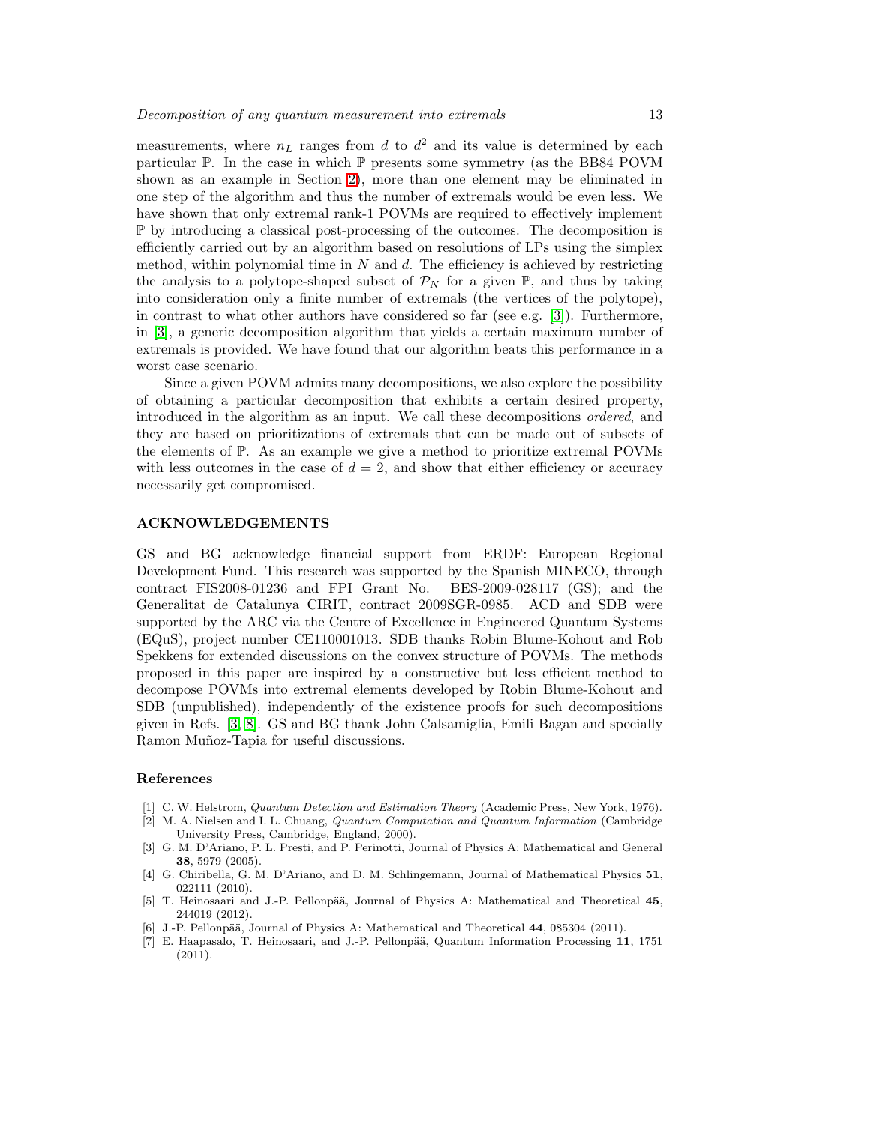measurements, where  $n<sub>L</sub>$  ranges from d to  $d<sup>2</sup>$  and its value is determined by each particular  $\mathbb P$ . In the case in which  $\mathbb P$  presents some symmetry (as the BB84 POVM shown as an example in Section [2\)](#page-2-0), more than one element may be eliminated in one step of the algorithm and thus the number of extremals would be even less. We have shown that only extremal rank-1 POVMs are required to effectively implement P by introducing a classical post-processing of the outcomes. The decomposition is efficiently carried out by an algorithm based on resolutions of LPs using the simplex method, within polynomial time in  $N$  and  $d$ . The efficiency is achieved by restricting the analysis to a polytope-shaped subset of  $\mathcal{P}_N$  for a given  $\mathbb{P}$ , and thus by taking into consideration only a finite number of extremals (the vertices of the polytope), in contrast to what other authors have considered so far (see e.g. [\[3\]](#page-12-2)). Furthermore, in [\[3\]](#page-12-2), a generic decomposition algorithm that yields a certain maximum number of extremals is provided. We have found that our algorithm beats this performance in a worst case scenario.

Since a given POVM admits many decompositions, we also explore the possibility of obtaining a particular decomposition that exhibits a certain desired property, introduced in the algorithm as an input. We call these decompositions ordered, and they are based on prioritizations of extremals that can be made out of subsets of the elements of P. As an example we give a method to prioritize extremal POVMs with less outcomes in the case of  $d = 2$ , and show that either efficiency or accuracy necessarily get compromised.

## ACKNOWLEDGEMENTS

GS and BG acknowledge financial support from ERDF: European Regional Development Fund. This research was supported by the Spanish MINECO, through contract FIS2008-01236 and FPI Grant No. BES-2009-028117 (GS); and the Generalitat de Catalunya CIRIT, contract 2009SGR-0985. ACD and SDB were supported by the ARC via the Centre of Excellence in Engineered Quantum Systems (EQuS), project number CE110001013. SDB thanks Robin Blume-Kohout and Rob Spekkens for extended discussions on the convex structure of POVMs. The methods proposed in this paper are inspired by a constructive but less efficient method to decompose POVMs into extremal elements developed by Robin Blume-Kohout and SDB (unpublished), independently of the existence proofs for such decompositions given in Refs. [\[3,](#page-12-2) [8\]](#page-13-0). GS and BG thank John Calsamiglia, Emili Bagan and specially Ramon Muñoz-Tapia for useful discussions.

#### References

- <span id="page-12-1"></span><span id="page-12-0"></span>[1] C. W. Helstrom, Quantum Detection and Estimation Theory (Academic Press, New York, 1976).
- [2] M. A. Nielsen and I. L. Chuang, Quantum Computation and Quantum Information (Cambridge University Press, Cambridge, England, 2000).
- <span id="page-12-2"></span>[3] G. M. D'Ariano, P. L. Presti, and P. Perinotti, Journal of Physics A: Mathematical and General 38, 5979 (2005).
- <span id="page-12-3"></span>[4] G. Chiribella, G. M. D'Ariano, and D. M. Schlingemann, Journal of Mathematical Physics 51, 022111 (2010).
- <span id="page-12-4"></span>[5] T. Heinosaari and J.-P. Pellonpää, Journal of Physics A: Mathematical and Theoretical 45, 244019 (2012).
- <span id="page-12-6"></span><span id="page-12-5"></span>J.-P. Pellonpää, Journal of Physics A: Mathematical and Theoretical 44, 085304 (2011).
- [7] E. Haapasalo, T. Heinosaari, and J.-P. Pellonpää, Quantum Information Processing 11, 1751 (2011).